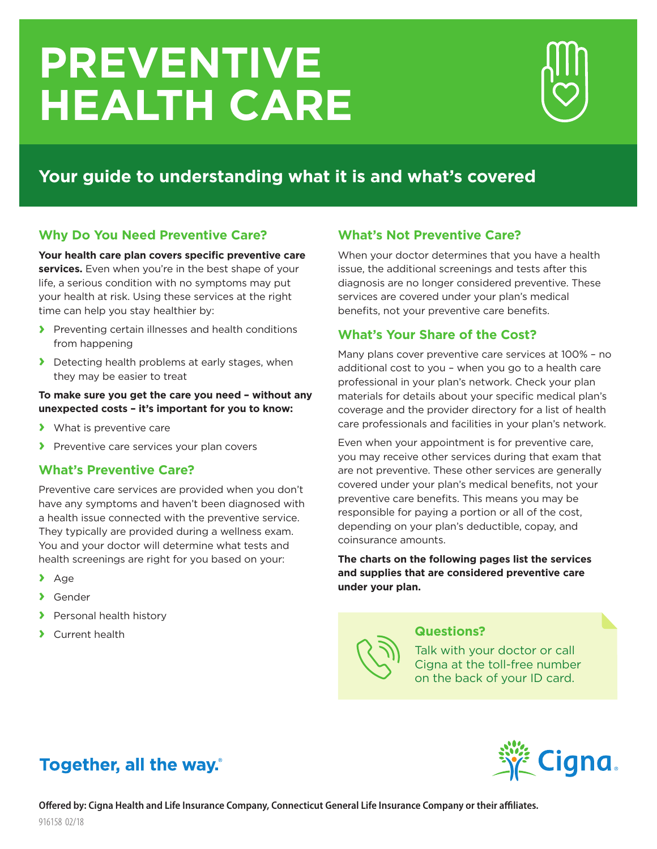# **PREVENTIVE HEALTH CARE**



## **Your guide to understanding what it is and what's covered**

### **Why Do You Need Preventive Care?**

**Your health care plan covers specific preventive care**  services. Even when you're in the best shape of your life, a serious condition with no symptoms may put your health at risk. Using these services at the right time can help you stay healthier by:

- **›** Preventing certain illnesses and health conditions from happening
- **›** Detecting health problems at early stages, when they may be easier to treat

#### **To make sure you get the care you need – without any unexpected costs – it's important for you to know:**

- **›** What is preventive care
- **›** Preventive care services your plan covers

### **What's Preventive Care?**

Preventive care services are provided when you don't have any symptoms and haven't been diagnosed with a health issue connected with the preventive service. They typically are provided during a wellness exam. You and your doctor will determine what tests and health screenings are right for you based on your:

- **›** Age
- **›** Gender
- **›** Personal health history
- **›** Current health

### **What's Not Preventive Care?**

When your doctor determines that you have a health issue, the additional screenings and tests after this diagnosis are no longer considered preventive. These services are covered under your plan's medical benefits, not your preventive care benefits.

### **What's Your Share of the Cost?**

Many plans cover preventive care services at 100% – no additional cost to you – when you go to a health care professional in your plan's network. Check your plan materials for details about your specific medical plan's coverage and the provider directory for a list of health care professionals and facilities in your plan's network.

Even when your appointment is for preventive care, you may receive other services during that exam that are not preventive. These other services are generally covered under your plan's medical benefits, not your preventive care benefits. This means you may be responsible for paying a portion or all of the cost, depending on your plan's deductible, copay, and coinsurance amounts.

**The charts on the following pages list the services and supplies that are considered preventive care under your plan.**



### **Questions?**

Talk with your doctor or call Cigna at the toll-free number on the back of your ID card.

## Together, all the way.

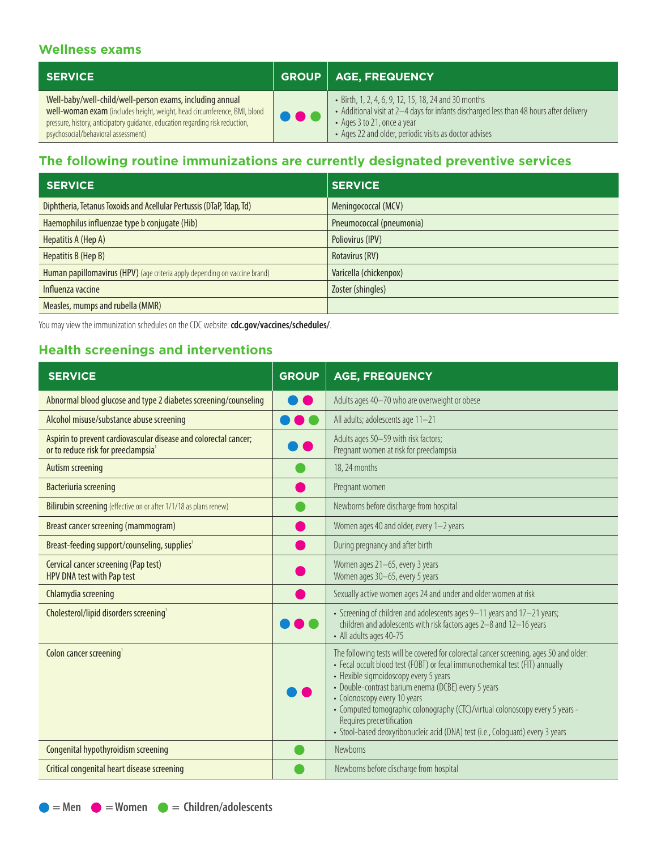### **Wellness exams**

| <b>SERVICE</b>                                                                                                                                                                                                                                               |     | <b>GROUP   AGE, FREQUENCY</b>                                                                                                                                                                                                            |
|--------------------------------------------------------------------------------------------------------------------------------------------------------------------------------------------------------------------------------------------------------------|-----|------------------------------------------------------------------------------------------------------------------------------------------------------------------------------------------------------------------------------------------|
| Well-baby/well-child/well-person exams, including annual<br>well-woman exam (includes height, weight, head circumference, BMI, blood<br>pressure, history, anticipatory guidance, education regarding risk reduction,<br>psychosocial/behavioral assessment) | 981 | • Birth, 1, 2, 4, 6, 9, 12, 15, 18, 24 and 30 months<br>• Additional visit at 2-4 days for infants discharged less than 48 hours after delivery<br>• Ages 3 to 21, once a year<br>• Ages 22 and older, periodic visits as doctor advises |

### **The following routine immunizations are currently designated preventive services**

| <b>SERVICE</b>                                                             | <b>SERVICE</b>           |
|----------------------------------------------------------------------------|--------------------------|
| Diphtheria, Tetanus Toxoids and Acellular Pertussis (DTaP, Tdap, Td)       | Meningococcal (MCV)      |
| Haemophilus influenzae type b conjugate (Hib)                              | Pneumococcal (pneumonia) |
| Hepatitis A (Hep A)                                                        | Poliovirus (IPV)         |
| Hepatitis B (Hep B)                                                        | Rotavirus (RV)           |
| Human papillomavirus (HPV) (age criteria apply depending on vaccine brand) | Varicella (chickenpox)   |
| Influenza vaccine                                                          | Zoster (shingles)        |
| Measles, mumps and rubella (MMR)                                           |                          |

You may view the immunization schedules on the CDC website: **[cdc.gov/vaccines/schedules/](http://www.cdc.gov/vaccines/schedules/)**.

### **Health screenings and interventions**

| <b>SERVICE</b>                                                                                                      | <b>GROUP</b> | <b>AGE, FREQUENCY</b>                                                                                                                                                                                                                                                                                                                                                                                                                                                                                    |
|---------------------------------------------------------------------------------------------------------------------|--------------|----------------------------------------------------------------------------------------------------------------------------------------------------------------------------------------------------------------------------------------------------------------------------------------------------------------------------------------------------------------------------------------------------------------------------------------------------------------------------------------------------------|
| Abnormal blood glucose and type 2 diabetes screening/counseling                                                     |              | Adults ages 40-70 who are overweight or obese                                                                                                                                                                                                                                                                                                                                                                                                                                                            |
| Alcohol misuse/substance abuse screening                                                                            |              | All adults; adolescents age 11-21                                                                                                                                                                                                                                                                                                                                                                                                                                                                        |
| Aspirin to prevent cardiovascular disease and colorectal cancer;<br>or to reduce risk for preeclampsia <sup>1</sup> |              | Adults ages 50-59 with risk factors;<br>Pregnant women at risk for preeclampsia                                                                                                                                                                                                                                                                                                                                                                                                                          |
| Autism screening                                                                                                    |              | 18, 24 months                                                                                                                                                                                                                                                                                                                                                                                                                                                                                            |
| <b>Bacteriuria screening</b>                                                                                        |              | Pregnant women                                                                                                                                                                                                                                                                                                                                                                                                                                                                                           |
| Bilirubin screening (effective on or after 1/1/18 as plans renew)                                                   |              | Newborns before discharge from hospital                                                                                                                                                                                                                                                                                                                                                                                                                                                                  |
| Breast cancer screening (mammogram)                                                                                 |              | Women ages 40 and older, every 1-2 years                                                                                                                                                                                                                                                                                                                                                                                                                                                                 |
| Breast-feeding support/counseling, supplies <sup>2</sup>                                                            |              | During pregnancy and after birth                                                                                                                                                                                                                                                                                                                                                                                                                                                                         |
| Cervical cancer screening (Pap test)<br>HPV DNA test with Pap test                                                  |              | Women ages 21-65, every 3 years<br>Women ages 30-65, every 5 years                                                                                                                                                                                                                                                                                                                                                                                                                                       |
| Chlamydia screening                                                                                                 |              | Sexually active women ages 24 and under and older women at risk                                                                                                                                                                                                                                                                                                                                                                                                                                          |
| Cholesterol/lipid disorders screening <sup>1</sup>                                                                  |              | • Screening of children and adolescents ages 9-11 years and 17-21 years;<br>children and adolescents with risk factors ages 2-8 and 12-16 years<br>• All adults ages 40-75                                                                                                                                                                                                                                                                                                                               |
| Colon cancer screening <sup>1</sup>                                                                                 |              | The following tests will be covered for colorectal cancer screening, ages 50 and older:<br>• Fecal occult blood test (FOBT) or fecal immunochemical test (FIT) annually<br>• Flexible sigmoidoscopy every 5 years<br>· Double-contrast barium enema (DCBE) every 5 years<br>• Colonoscopy every 10 years<br>- Computed tomographic colonography (CTC)/virtual colonoscopy every 5 years -<br>Requires precertification<br>· Stool-based deoxyribonucleic acid (DNA) test (i.e., Coloquard) every 3 years |
| Congenital hypothyroidism screening                                                                                 |              | <b>Newborns</b>                                                                                                                                                                                                                                                                                                                                                                                                                                                                                          |
| Critical congenital heart disease screening                                                                         |              | Newborns before discharge from hospital                                                                                                                                                                                                                                                                                                                                                                                                                                                                  |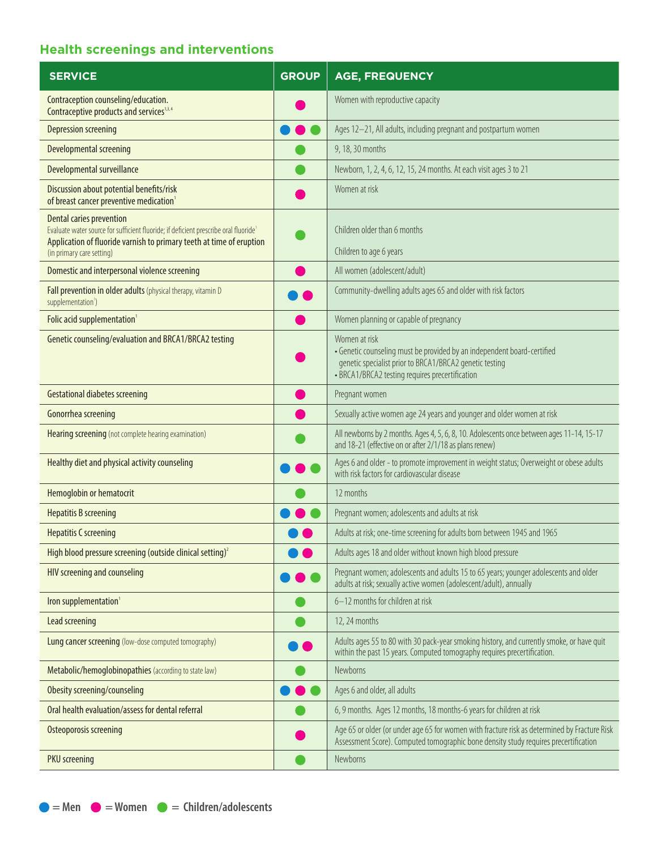### **Health screenings and interventions**

| <b>SERVICE</b>                                                                                                                                                                                                               | <b>GROUP</b> | <b>AGE, FREQUENCY</b>                                                                                                                                                                                  |
|------------------------------------------------------------------------------------------------------------------------------------------------------------------------------------------------------------------------------|--------------|--------------------------------------------------------------------------------------------------------------------------------------------------------------------------------------------------------|
| Contraception counseling/education.<br>Contraceptive products and services <sup>1,3,4</sup>                                                                                                                                  |              | Women with reproductive capacity                                                                                                                                                                       |
| <b>Depression screening</b>                                                                                                                                                                                                  |              | Ages 12-21, All adults, including pregnant and postpartum women                                                                                                                                        |
| Developmental screening                                                                                                                                                                                                      |              | 9, 18, 30 months                                                                                                                                                                                       |
| Developmental surveillance                                                                                                                                                                                                   |              | Newborn, 1, 2, 4, 6, 12, 15, 24 months. At each visit ages 3 to 21                                                                                                                                     |
| Discussion about potential benefits/risk<br>of breast cancer preventive medication <sup>1</sup>                                                                                                                              |              | Women at risk                                                                                                                                                                                          |
| <b>Dental caries prevention</b><br>Evaluate water source for sufficient fluoride; if deficient prescribe oral fluoride1<br>Application of fluoride varnish to primary teeth at time of eruption<br>(in primary care setting) |              | Children older than 6 months<br>Children to age 6 years                                                                                                                                                |
| Domestic and interpersonal violence screening                                                                                                                                                                                |              | All women (adolescent/adult)                                                                                                                                                                           |
| Fall prevention in older adults (physical therapy, vitamin D<br>supplementation <sup>1</sup> )                                                                                                                               |              | Community-dwelling adults ages 65 and older with risk factors                                                                                                                                          |
| Folic acid supplementation <sup>1</sup>                                                                                                                                                                                      |              | Women planning or capable of pregnancy                                                                                                                                                                 |
| Genetic counseling/evaluation and BRCA1/BRCA2 testing                                                                                                                                                                        |              | Women at risk<br>• Genetic counseling must be provided by an independent board-certified<br>genetic specialist prior to BRCA1/BRCA2 genetic testing<br>• BRCA1/BRCA2 testing requires precertification |
| <b>Gestational diabetes screening</b>                                                                                                                                                                                        |              | Pregnant women                                                                                                                                                                                         |
| Gonorrhea screening                                                                                                                                                                                                          |              | Sexually active women age 24 years and younger and older women at risk                                                                                                                                 |
| Hearing screening (not complete hearing examination)                                                                                                                                                                         |              | All newborns by 2 months. Ages 4, 5, 6, 8, 10. Adolescents once between ages 11-14, 15-17<br>and 18-21 (effective on or after 2/1/18 as plans renew)                                                   |
| Healthy diet and physical activity counseling                                                                                                                                                                                |              | Ages 6 and older - to promote improvement in weight status; Overweight or obese adults<br>with risk factors for cardiovascular disease                                                                 |
| Hemoglobin or hematocrit                                                                                                                                                                                                     |              | 12 months                                                                                                                                                                                              |
| <b>Hepatitis B screening</b>                                                                                                                                                                                                 |              | Pregnant women; adolescents and adults at risk                                                                                                                                                         |
| <b>Hepatitis C screening</b>                                                                                                                                                                                                 |              | Adults at risk; one-time screening for adults born between 1945 and 1965                                                                                                                               |
| High blood pressure screening (outside clinical setting) $^2$                                                                                                                                                                |              | Adults ages 18 and older without known high blood pressure                                                                                                                                             |
| HIV screening and counseling                                                                                                                                                                                                 |              | Pregnant women; adolescents and adults 15 to 65 years; younger adolescents and older<br>adults at risk; sexually active women (adolescent/adult), annually                                             |
| Iron supplementation <sup>1</sup>                                                                                                                                                                                            |              | 6-12 months for children at risk                                                                                                                                                                       |
| Lead screening                                                                                                                                                                                                               |              | 12, 24 months                                                                                                                                                                                          |
| <b>Lung cancer screening</b> (low-dose computed tomography)                                                                                                                                                                  |              | Adults ages 55 to 80 with 30 pack-year smoking history, and currently smoke, or have quit<br>within the past 15 years. Computed tomography requires precertification.                                  |
| Metabolic/hemoglobinopathies (according to state law)                                                                                                                                                                        |              | Newborns                                                                                                                                                                                               |
| Obesity screening/counseling                                                                                                                                                                                                 |              | Ages 6 and older, all adults                                                                                                                                                                           |
| Oral health evaluation/assess for dental referral                                                                                                                                                                            |              | 6, 9 months. Ages 12 months, 18 months-6 years for children at risk                                                                                                                                    |
| Osteoporosis screening                                                                                                                                                                                                       |              | Age 65 or older (or under age 65 for women with fracture risk as determined by Fracture Risk<br>Assessment Score). Computed tomographic bone density study requires precertification                   |
| <b>PKU</b> screening                                                                                                                                                                                                         |              | Newborns                                                                                                                                                                                               |